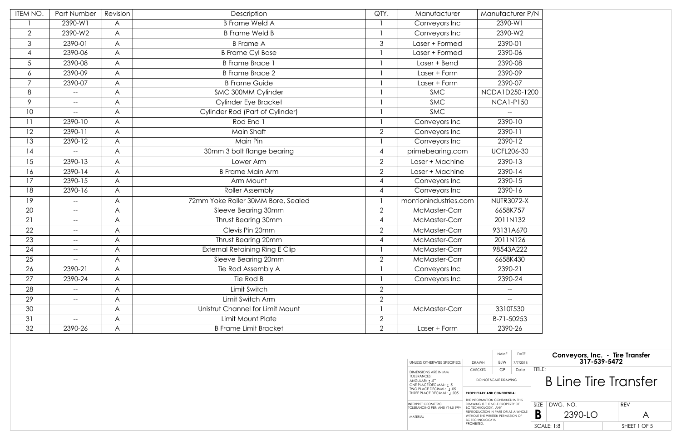| ITEM NO.       | Part Number                                         | Revision | Description                           | QTY.           | Manufacturer                                                                      | Manufacturer P/N                                                      |                                                 |
|----------------|-----------------------------------------------------|----------|---------------------------------------|----------------|-----------------------------------------------------------------------------------|-----------------------------------------------------------------------|-------------------------------------------------|
|                | 2390-W1                                             | A        | <b>B</b> Frame Weld A                 |                | Conveyors Inc                                                                     | 2390-W1                                                               |                                                 |
| $\overline{2}$ | 2390-W2                                             | A        | <b>B</b> Frame Weld B                 |                | Conveyors Inc                                                                     | 2390-W2                                                               |                                                 |
| 3              | 2390-01                                             | A        | <b>B</b> Frame A                      | 3              | Laser + Formed                                                                    | 2390-01                                                               |                                                 |
| 4              | 2390-06                                             | A        | <b>B Frame Cyl Base</b>               |                | Laser + Formed                                                                    | 2390-06                                                               |                                                 |
| 5 <sup>5</sup> | 2390-08                                             | A        | <b>B</b> Frame Brace 1                |                | Laser + Bend                                                                      | 2390-08                                                               |                                                 |
| 6              | 2390-09                                             | A        | <b>B</b> Frame Brace 2                |                | Laser + Form                                                                      | 2390-09                                                               |                                                 |
| 7              | 2390-07                                             | A        | <b>B Frame Guide</b>                  |                | Laser + Form                                                                      | 2390-07                                                               |                                                 |
| 8              | $--$                                                | A        | SMC 300MM Cylinder                    |                | <b>SMC</b>                                                                        | NCDA1D250-1200                                                        |                                                 |
| 9              | $--$                                                | A        | Cylinder Eye Bracket                  |                | <b>SMC</b>                                                                        | <b>NCA1-P150</b>                                                      |                                                 |
| 10             | $--$                                                | A        | Cylinder Rod (Part of Cylinder)       |                | <b>SMC</b>                                                                        | $\hspace{0.05cm} -\hspace{0.05cm} -\hspace{0.05cm}$                   |                                                 |
| 11             | 2390-10                                             | A        | Rod End 1                             |                | Conveyors Inc                                                                     | 2390-10                                                               |                                                 |
| 12             | 2390-11                                             | A        | Main Shaft                            | $\overline{2}$ | Conveyors Inc                                                                     | 2390-11                                                               |                                                 |
| 13             | 2390-12                                             | A        | Main Pin                              |                | Conveyors Inc                                                                     | 2390-12                                                               |                                                 |
| 14             | $\overline{\phantom{a}}$                            | A        | 30mm 3 bolt flange bearing            | 4              | primebearing.com                                                                  | <b>UCFL206-30</b>                                                     |                                                 |
| 15             | 2390-13                                             | A        | Lower Arm                             | $\overline{2}$ | Laser + Machine                                                                   | 2390-13                                                               |                                                 |
| 16             | 2390-14                                             | A        | <b>B Frame Main Arm</b>               | $\overline{2}$ | Laser + Machine                                                                   | 2390-14                                                               |                                                 |
| 17             | 2390-15                                             | A        | Arm Mount                             | 4              | Conveyors Inc                                                                     | 2390-15                                                               |                                                 |
| 18             | 2390-16                                             | A        | <b>Roller Assembly</b>                | 4              | Conveyors Inc                                                                     | 2390-16                                                               |                                                 |
| 19             | $\hspace{0.05cm} \dashv$                            | A        | 72mm Yoke Roller 30MM Bore, Sealed    |                | montionindustries.com                                                             | <b>NUTR3072-X</b>                                                     |                                                 |
| 20             | $\hspace{0.05cm} -\hspace{0.05cm} -\hspace{0.05cm}$ | A        | Sleeve Bearing 30mm                   | $\overline{2}$ | McMaster-Carr                                                                     | 6658K757                                                              |                                                 |
| 21             | $\hspace{0.05cm} -\hspace{0.05cm} -\hspace{0.05cm}$ | A        | Thrust Bearing 30mm                   | 4              | McMaster-Carr                                                                     | 2011N132                                                              |                                                 |
| 22             | $--$                                                | A        | Clevis Pin 20mm                       | $\overline{2}$ | McMaster-Carr                                                                     | 93131A670                                                             |                                                 |
| 23             | $--$                                                | A        | Thrust Bearing 20mm                   |                | McMaster-Carr                                                                     | 2011N126                                                              |                                                 |
| 24             | $--$                                                | A        | <b>External Retaining Ring E Clip</b> |                | McMaster-Carr                                                                     | 98543A222                                                             |                                                 |
| 25             | $--$                                                | A        | Sleeve Bearing 20mm                   | $\overline{2}$ | McMaster-Carr                                                                     | 6658K430                                                              |                                                 |
| 26             | 2390-21                                             | A        | Tie Rod Assembly A                    |                | Conveyors Inc                                                                     | 2390-21                                                               |                                                 |
| 27             | 2390-24                                             | A        | Tie Rod B                             |                | Conveyors Inc                                                                     | 2390-24                                                               |                                                 |
| 28             | $--$                                                | A        | Limit Switch                          | $\overline{2}$ |                                                                                   | $--$                                                                  |                                                 |
| 29             | $--$                                                | A        | Limit Switch Arm                      | $\overline{2}$ |                                                                                   | $- -$                                                                 |                                                 |
| 30             |                                                     | A        | Unistrut Channel for Limit Mount      |                | McMaster-Carr                                                                     | 3310T530                                                              |                                                 |
| 31             | $--$                                                | A        | Limit Mount Plate                     | $\overline{2}$ |                                                                                   | B-71-50253                                                            |                                                 |
| 32             | 2390-26                                             | A        | <b>B Frame Limit Bracket</b>          | $\overline{2}$ | Laser + Form                                                                      | 2390-26                                                               |                                                 |
|                |                                                     |          |                                       |                |                                                                                   |                                                                       |                                                 |
|                |                                                     |          |                                       |                |                                                                                   | NAME<br>DATE                                                          |                                                 |
|                |                                                     |          |                                       |                | UNLESS OTHERWISE SPECIFIED:                                                       | BJW<br>7/7/2018<br>DRAWN                                              | Conveyors, Inc. - Tire Transfer<br>317-539-5472 |
|                |                                                     |          |                                       |                | DIMENSIONS ARE IN MM                                                              | GP<br>Date<br><b>CHECKED</b>                                          | TITLE:                                          |
|                |                                                     |          |                                       |                | <b>TOLERANCES:</b><br>ANGULAR: ± .5°                                              | DO NOT SCALE DRAWING                                                  | <b>B Line Tire Transfer</b>                     |
|                |                                                     |          |                                       |                | ONE PLACE DECIMAL: ±.5<br>TWO PLACE DECIMAL: ±.05<br>THREE PLACE DECIMAL: ± .005  | PROPRIETARY AND CONFIDENTIAL                                          |                                                 |
|                |                                                     |          |                                       |                |                                                                                   | THE INFORMATION CONTAINED IN THIS                                     |                                                 |
|                |                                                     |          |                                       |                | <b>INTERPRET GEOMETRIC</b><br>TOLERANCING PER: ANSI Y14.5 1994 BC TECHNOLOGY. ANY | DRAWING IS THE SOLE PROPERTY OF<br>REPRODUCTION IN PART OR AS A WHOLE | <b>REV</b><br>SIZE   DWG. NO.                   |
|                |                                                     |          |                                       |                | MATERIAL                                                                          | WITHOUT THE WRITTEN PERMISSION OF<br><b>BC TECHNOLOGY IS</b>          | B<br>2390-LO<br>$\bigwedge$                     |
|                |                                                     |          |                                       |                |                                                                                   | PROHIBITED.                                                           | <b>SCALE: 1:8</b><br>SHEET 1 OF 5               |

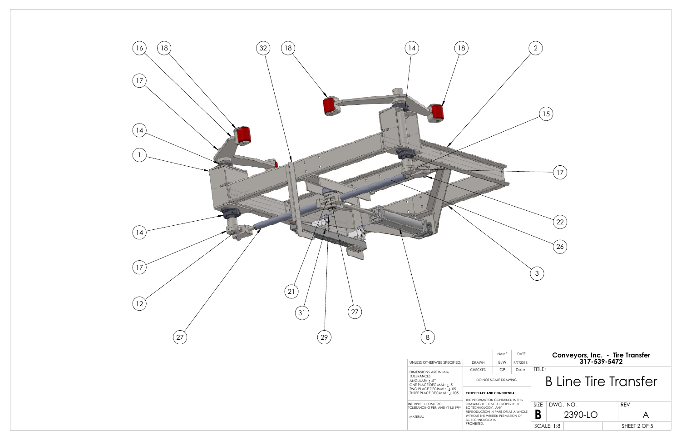

|                                                                                                                                                                                                     | <b>NAME</b>          | DATE |                             |  |          | Conveyors, Inc. - Tire Transfer |            |  |  |  |
|-----------------------------------------------------------------------------------------------------------------------------------------------------------------------------------------------------|----------------------|------|-----------------------------|--|----------|---------------------------------|------------|--|--|--|
| <b>BJW</b><br>AWN<br>7/7/2018                                                                                                                                                                       |                      |      | 317-539-5472                |  |          |                                 |            |  |  |  |
| <b>CKFD</b>                                                                                                                                                                                         | GP                   | Date | TITLE:                      |  |          |                                 |            |  |  |  |
|                                                                                                                                                                                                     | DO NOT SCALE DRAWING |      | <b>B Line Tire Transfer</b> |  |          |                                 |            |  |  |  |
| <b>ETARY AND CONFIDENTIAL</b><br>ORMATION CONTAINED IN THIS<br>NG IS THE SOLE PROPERTY OF<br>HNOLOGY. ANY<br>DUCTION IN PART OR AS A WHOLE<br>JT THE WRITTEN PERMISSION OF<br>HNOI OGY IS<br>SITED. |                      |      |                             |  |          |                                 |            |  |  |  |
|                                                                                                                                                                                                     |                      |      | SI <sub>7</sub> F           |  | DWG. NO. |                                 | <b>RFV</b> |  |  |  |
|                                                                                                                                                                                                     |                      |      | B<br>2390-LO                |  |          |                                 |            |  |  |  |
|                                                                                                                                                                                                     |                      |      | <b>SCALE: 1:8</b>           |  |          | SHEET 2 OF 5                    |            |  |  |  |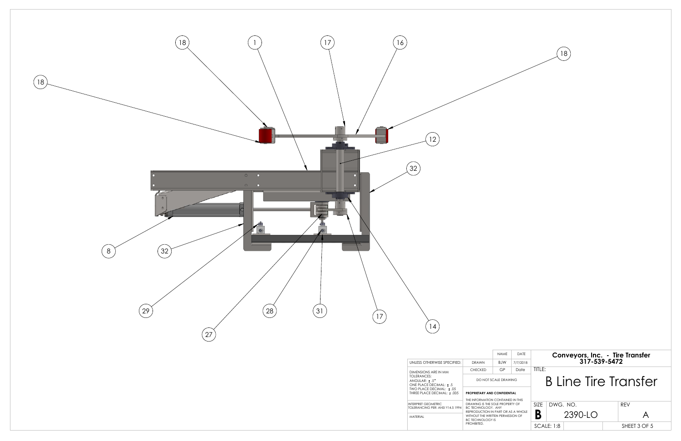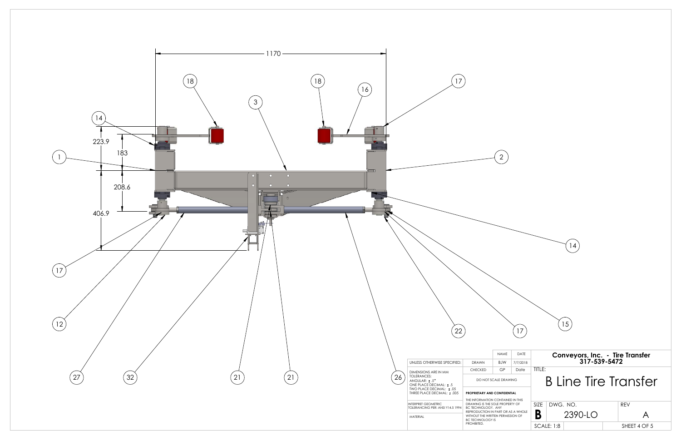

| $\overline{c}$                                                                                                                                                    |            |                                                                   |           |            |         |            |   |                                                                                                |
|-------------------------------------------------------------------------------------------------------------------------------------------------------------------|------------|-------------------------------------------------------------------|-----------|------------|---------|------------|---|------------------------------------------------------------------------------------------------|
|                                                                                                                                                                   |            |                                                                   | 14        |            |         |            |   |                                                                                                |
|                                                                                                                                                                   |            |                                                                   |           |            |         |            |   |                                                                                                |
| NAME<br>BJW                                                                                                                                                       | 17<br>DAIE |                                                                   | 15        |            |         |            |   |                                                                                                |
| GP                                                                                                                                                                | Date       | TITLE:                                                            |           |            |         |            |   |                                                                                                |
| ORMATION CONTAINED IN THIS<br>NG IS THE SOLE PROPERTY OF<br>HNOLOGY. ANY<br>DUCTION IN PART OR AS A WHOLE<br>JT THE WRITTEN PERMISSION OF<br>HNOLOGY IS<br>SITED. |            |                                                                   | DWG. NO.  |            |         | <b>REV</b> | A |                                                                                                |
|                                                                                                                                                                   |            | 7/7/2018<br>DO NOT SCALE DRAWING<br><b>ETARY AND CONFIDENTIAL</b> | SIZE<br>Β | SCALE: 1:8 | 2390-LO |            |   | Conveyors, Inc. - Tire Transfer<br>317-539-5472<br><b>B Line Tire Transfer</b><br>SHEET 4 OF 5 |